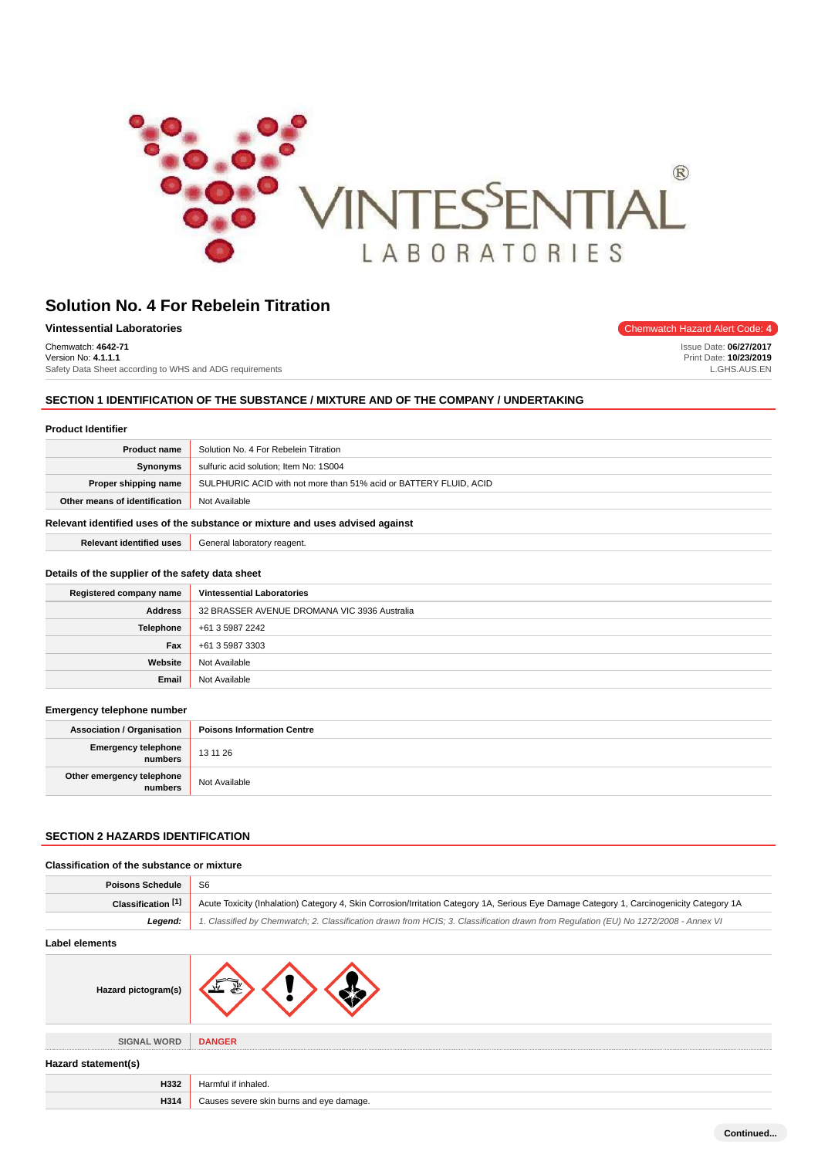

| Vintessential Laboratories                              | Chemwatch Hazard Alert Code: 4 |
|---------------------------------------------------------|--------------------------------|
| Chemwatch: 4642-71                                      | Issue Date: 06/27/2017         |
| Version No: 4.1.1.1                                     | Print Date: 10/23/2019         |
| Safety Data Sheet according to WHS and ADG requirements | GHS.AUS.EN                     |

# **SECTION 1 IDENTIFICATION OF THE SUBSTANCE / MIXTURE AND OF THE COMPANY / UNDERTAKING**

# **Product Identifier**

| <b>Product name</b>                                                           | Solution No. 4 For Rebelein Titration                             |
|-------------------------------------------------------------------------------|-------------------------------------------------------------------|
| <b>Synonyms</b>                                                               | sulfuric acid solution; Item No: 1S004                            |
| Proper shipping name                                                          | SULPHURIC ACID with not more than 51% acid or BATTERY FLUID, ACID |
| Other means of identification                                                 | Not Available                                                     |
| Relevant identified uses of the substance or mixture and uses advised against |                                                                   |

**Relevant identified uses** General laboratory reagent.

#### **Details of the supplier of the safety data sheet**

| Registered company name | <b>Vintessential Laboratories</b>            |
|-------------------------|----------------------------------------------|
| <b>Address</b>          | 32 BRASSER AVENUE DROMANA VIC 3936 Australia |
| Telephone               | +61 3 5987 2242                              |
| Fax                     | +61 3 5987 3303                              |
| Website                 | Not Available                                |
| Email                   | Not Available                                |

#### **Emergency telephone number**

| <b>Association / Organisation</b>             | <b>Poisons Information Centre</b> |
|-----------------------------------------------|-----------------------------------|
| <b>Emergency telephone</b><br><b>inumbers</b> | 13 11 26                          |
| Other emergency telephone<br>numbers          | Not Available                     |

# **SECTION 2 HAZARDS IDENTIFICATION**

| Classification of the substance or mixture |                                                                                                                                           |
|--------------------------------------------|-------------------------------------------------------------------------------------------------------------------------------------------|
| <b>Poisons Schedule</b>                    | S <sub>6</sub>                                                                                                                            |
| Classification [1]                         | Acute Toxicity (Inhalation) Category 4, Skin Corrosion/Irritation Category 1A, Serious Eye Damage Category 1, Carcinogenicity Category 1A |
| Legend:                                    | 1. Classified by Chemwatch; 2. Classification drawn from HCIS; 3. Classification drawn from Regulation (EU) No 1272/2008 - Annex VI       |
| Label elements                             |                                                                                                                                           |
| Hazard pictogram(s)                        |                                                                                                                                           |
| <b>SIGNAL WORD</b>                         | <b>DANGER</b>                                                                                                                             |
| Hazard statement(s)                        |                                                                                                                                           |
| H332                                       | Harmful if inhaled.                                                                                                                       |
| H314                                       | Causes severe skin burns and eye damage.                                                                                                  |

**Continued...**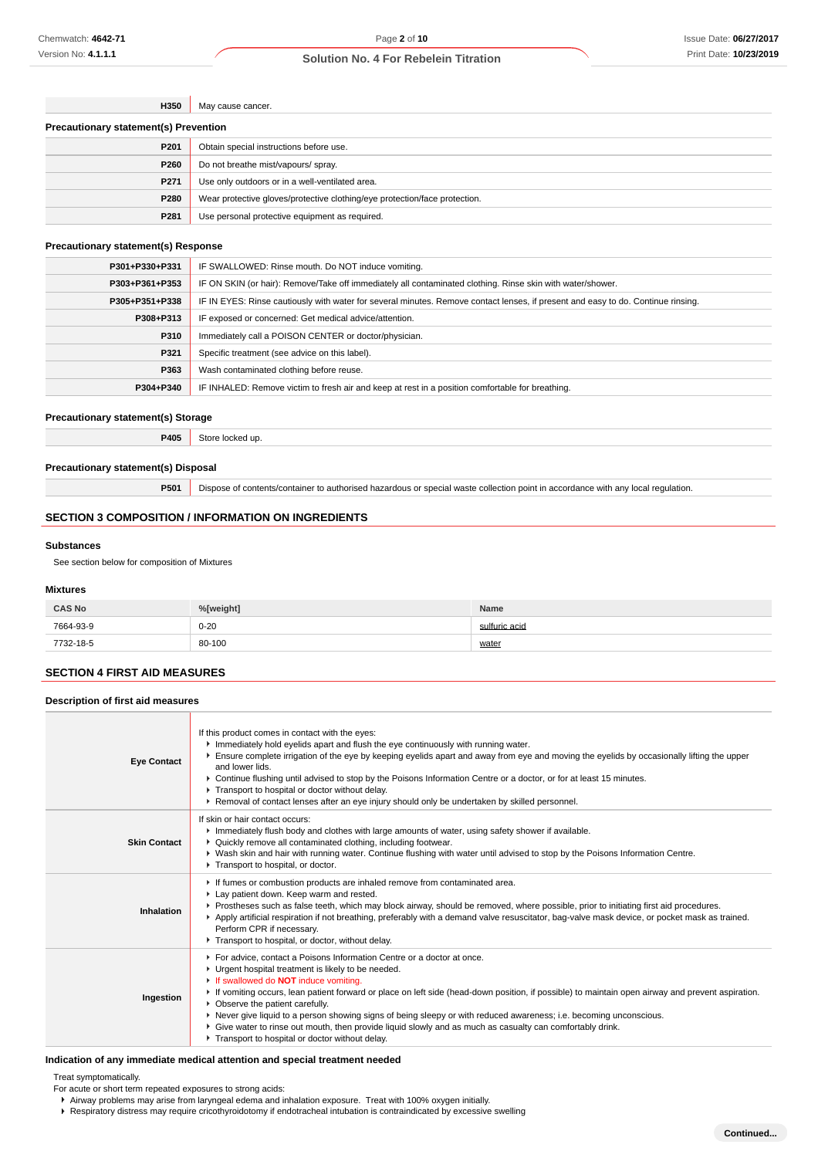| H350                                         | May cause cancer.                               |  |
|----------------------------------------------|-------------------------------------------------|--|
| <b>Precautionary statement(s) Prevention</b> |                                                 |  |
| P <sub>201</sub>                             | Obtain special instructions before use.         |  |
| P <sub>260</sub>                             | Do not breathe mist/vapours/ spray.             |  |
| P <sub>271</sub>                             | Use only outdoors or in a well-ventilated area. |  |
|                                              |                                                 |  |

| P280                            | Wear protective gloves/protective clothing/eye protection/face protection. |
|---------------------------------|----------------------------------------------------------------------------|
| P281                            | Use personal protective equipment as required.                             |
| autionary statement(s) Resnonse |                                                                            |

# **Precautionary statement(s)**

| P301+P330+P331 | IF SWALLOWED: Rinse mouth. Do NOT induce vomiting.                                                                               |
|----------------|----------------------------------------------------------------------------------------------------------------------------------|
| P303+P361+P353 | IF ON SKIN (or hair): Remove/Take off immediately all contaminated clothing. Rinse skin with water/shower.                       |
| P305+P351+P338 | IF IN EYES: Rinse cautiously with water for several minutes. Remove contact lenses, if present and easy to do. Continue rinsing. |
| P308+P313      | IF exposed or concerned: Get medical advice/attention.                                                                           |
| P310           | Immediately call a POISON CENTER or doctor/physician.                                                                            |
| P321           | Specific treatment (see advice on this label).                                                                                   |
| P363           | Wash contaminated clothing before reuse.                                                                                         |
| P304+P340      | IF INHALED: Remove victim to fresh air and keep at rest in a position comfortable for breathing.                                 |

#### **Precautionary statement(s) Storage**

**P405** Store locked up.

#### **Precautionary statement(s) Disposal**

**P501** Dispose of contents/container to authorised hazardous or special waste collection point in accordance with any local regulation.

### **SECTION 3 COMPOSITION / INFORMATION ON INGREDIENTS**

#### **Substances**

See section below for composition of Mixtures

#### **Mixtures**

| <b>CAS No</b> | %[weight] | Name          |
|---------------|-----------|---------------|
| 7664-93-9     | $0 - 20$  | sulfuric acid |
| 7732-18-5     | 80-100    | water         |

# **SECTION 4 FIRST AID MEASURES**

**Description of first aid measures**

| <b>Eye Contact</b>  | If this product comes in contact with the eyes:<br>Immediately hold eyelids apart and flush the eye continuously with running water.<br>Ensure complete irrigation of the eye by keeping eyelids apart and away from eye and moving the eyelids by occasionally lifting the upper<br>and lower lids.<br>▶ Continue flushing until advised to stop by the Poisons Information Centre or a doctor, or for at least 15 minutes.<br>Transport to hospital or doctor without delay.<br>▶ Removal of contact lenses after an eye injury should only be undertaken by skilled personnel.                                                                            |
|---------------------|--------------------------------------------------------------------------------------------------------------------------------------------------------------------------------------------------------------------------------------------------------------------------------------------------------------------------------------------------------------------------------------------------------------------------------------------------------------------------------------------------------------------------------------------------------------------------------------------------------------------------------------------------------------|
| <b>Skin Contact</b> | If skin or hair contact occurs:<br>Immediately flush body and clothes with large amounts of water, using safety shower if available.<br>• Quickly remove all contaminated clothing, including footwear.<br>▶ Wash skin and hair with running water. Continue flushing with water until advised to stop by the Poisons Information Centre.<br>Transport to hospital, or doctor.                                                                                                                                                                                                                                                                               |
| Inhalation          | If fumes or combustion products are inhaled remove from contaminated area.<br>Lay patient down. Keep warm and rested.<br>▶ Prostheses such as false teeth, which may block airway, should be removed, where possible, prior to initiating first aid procedures.<br>▶ Apply artificial respiration if not breathing, preferably with a demand valve resuscitator, bag-valve mask device, or pocket mask as trained.<br>Perform CPR if necessary.<br>Transport to hospital, or doctor, without delay.                                                                                                                                                          |
| Ingestion           | For advice, contact a Poisons Information Centre or a doctor at once.<br>• Urgent hospital treatment is likely to be needed.<br>If swallowed do <b>NOT</b> induce vomiting.<br>▶ If vomiting occurs, lean patient forward or place on left side (head-down position, if possible) to maintain open airway and prevent aspiration.<br>• Observe the patient carefully.<br>▶ Never give liquid to a person showing signs of being sleepy or with reduced awareness; i.e. becoming unconscious.<br>▶ Give water to rinse out mouth, then provide liquid slowly and as much as casualty can comfortably drink.<br>Transport to hospital or doctor without delay. |

### **Indication of any immediate medical attention and special treatment needed**

Treat symptomatically.

- For acute or short term repeated exposures to strong acids:
	- Airway problems may arise from laryngeal edema and inhalation exposure. Treat with 100% oxygen initially.
	- Respiratory distress may require cricothyroidotomy if endotracheal intubation is contraindicated by excessive swelling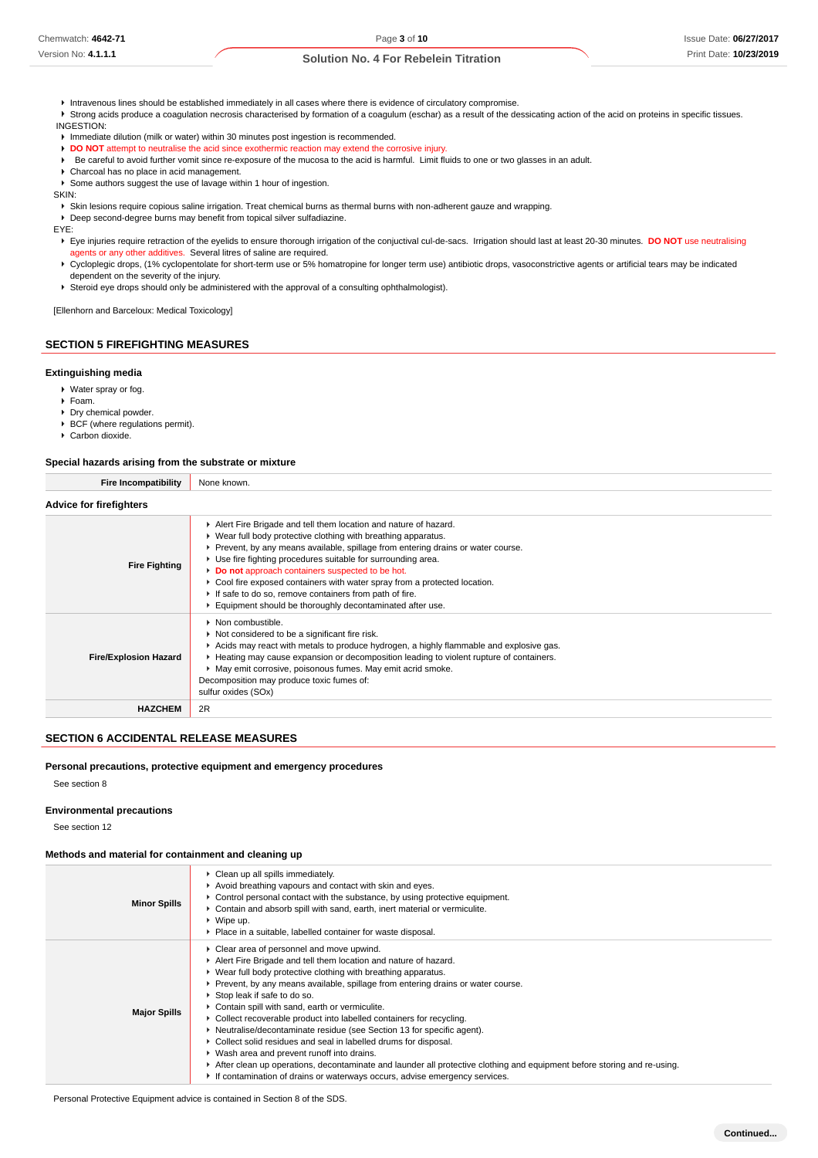- Intravenous lines should be established immediately in all cases where there is evidence of circulatory compromise.
- ▶ Strong acids produce a coagulation necrosis characterised by formation of a coagulum (eschar) as a result of the dessicating action of the acid on proteins in specific tissues. INGESTION:
- **Immediate dilution (milk or water) within 30 minutes post ingestion is recommended.**
- **DO NOT** attempt to neutralise the acid since exothermic reaction may extend the corrosive injury.
- Be careful to avoid further vomit since re-exposure of the mucosa to the acid is harmful. Limit fluids to one or two glasses in an adult.
- Charcoal has no place in acid management.
- Some authors suggest the use of lavage within 1 hour of ingestion.

SKIN:

Skin lesions require copious saline irrigation. Treat chemical burns as thermal burns with non-adherent gauze and wrapping.

Deep second-degree burns may benefit from topical silver sulfadiazine.

EYE:

Eye injuries require retraction of the eyelids to ensure thorough irrigation of the conjuctival cul-de-sacs. Irrigation should last at least 20-30 minutes. **DO NOT** use neutralising agents or any other additives. Several litres of saline are required.

▶ Cycloplegic drops, (1% cyclopentolate for short-term use or 5% homatropine for longer term use) antibiotic drops, vasoconstrictive agents or artificial tears may be indicated dependent on the severity of the injury.

Steroid eye drops should only be administered with the approval of a consulting ophthalmologist).

[Ellenhorn and Barceloux: Medical Toxicology]

# **SECTION 5 FIREFIGHTING MEASURES**

#### **Extinguishing media**

- Water spray or fog.
- Foam.
- Dry chemical powder.
- ▶ BCF (where regulations permit).
- ▶ Carbon dioxide.

# **Special hazards arising from the substrate or mixture Fire Incompatibility** None known.

| <b>Advice for firefighters</b> |                                                                                                                                                                                                                                                                                                                                                                                                                                                                                                                                              |
|--------------------------------|----------------------------------------------------------------------------------------------------------------------------------------------------------------------------------------------------------------------------------------------------------------------------------------------------------------------------------------------------------------------------------------------------------------------------------------------------------------------------------------------------------------------------------------------|
| <b>Fire Fighting</b>           | Alert Fire Brigade and tell them location and nature of hazard.<br>▶ Wear full body protective clothing with breathing apparatus.<br>Prevent, by any means available, spillage from entering drains or water course.<br>• Use fire fighting procedures suitable for surrounding area.<br>Do not approach containers suspected to be hot.<br>► Cool fire exposed containers with water spray from a protected location.<br>If safe to do so, remove containers from path of fire.<br>Equipment should be thoroughly decontaminated after use. |
| <b>Fire/Explosion Hazard</b>   | $\blacktriangleright$ Non combustible.<br>▶ Not considered to be a significant fire risk.<br>Acids may react with metals to produce hydrogen, a highly flammable and explosive gas.<br>► Heating may cause expansion or decomposition leading to violent rupture of containers.<br>May emit corrosive, poisonous fumes. May emit acrid smoke.<br>Decomposition may produce toxic fumes of:<br>sulfur oxides (SOx)                                                                                                                            |
| <b>HAZCHEM</b>                 | 2R                                                                                                                                                                                                                                                                                                                                                                                                                                                                                                                                           |

#### **SECTION 6 ACCIDENTAL RELEASE MEASURES**

#### **Personal precautions, protective equipment and emergency procedures**

See section 8

#### **Environmental precautions**

See section 12

#### **Methods and material for containment and cleaning up**

| <b>Minor Spills</b> | • Clean up all spills immediately.<br>Avoid breathing vapours and contact with skin and eyes.<br>► Control personal contact with the substance, by using protective equipment.<br>► Contain and absorb spill with sand, earth, inert material or vermiculite.<br>$\blacktriangleright$ Wipe up.<br>• Place in a suitable, labelled container for waste disposal.                                                                                                                                                                                                                                                                                                                                                                                                                                                                         |
|---------------------|------------------------------------------------------------------------------------------------------------------------------------------------------------------------------------------------------------------------------------------------------------------------------------------------------------------------------------------------------------------------------------------------------------------------------------------------------------------------------------------------------------------------------------------------------------------------------------------------------------------------------------------------------------------------------------------------------------------------------------------------------------------------------------------------------------------------------------------|
| <b>Major Spills</b> | • Clear area of personnel and move upwind.<br>Alert Fire Brigade and tell them location and nature of hazard.<br>• Wear full body protective clothing with breathing apparatus.<br>► Prevent, by any means available, spillage from entering drains or water course.<br>Stop leak if safe to do so.<br>▶ Contain spill with sand, earth or vermiculite.<br>• Collect recoverable product into labelled containers for recycling.<br>• Neutralise/decontaminate residue (see Section 13 for specific agent).<br>▶ Collect solid residues and seal in labelled drums for disposal.<br>▶ Wash area and prevent runoff into drains.<br>After clean up operations, decontaminate and launder all protective clothing and equipment before storing and re-using.<br>If contamination of drains or waterways occurs, advise emergency services. |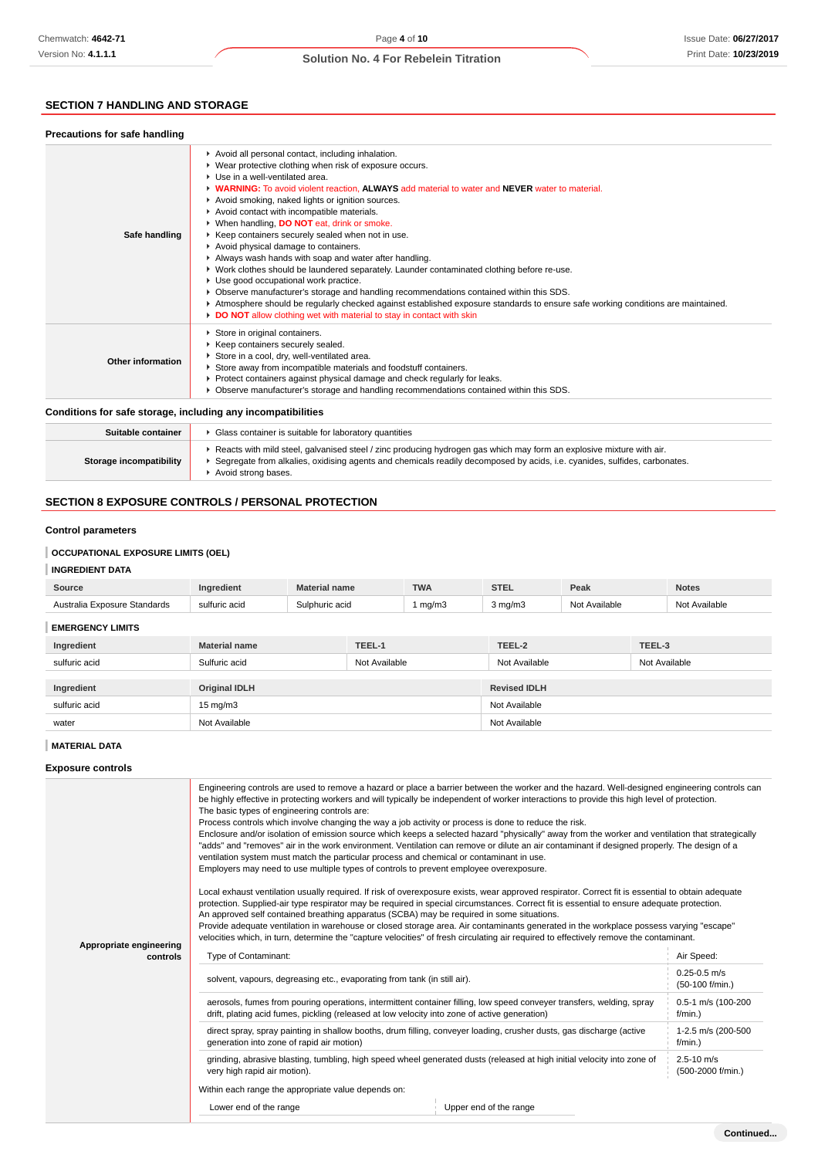# **SECTION 7 HANDLING AND STORAGE**

| <b>Precautions for safe handling</b>                         |                                                                                                                                                                                                                                                                                                                                                                                                                                                                                                                                                                                                                                                                                                                                                                                                                                                                                                                                                                                                             |
|--------------------------------------------------------------|-------------------------------------------------------------------------------------------------------------------------------------------------------------------------------------------------------------------------------------------------------------------------------------------------------------------------------------------------------------------------------------------------------------------------------------------------------------------------------------------------------------------------------------------------------------------------------------------------------------------------------------------------------------------------------------------------------------------------------------------------------------------------------------------------------------------------------------------------------------------------------------------------------------------------------------------------------------------------------------------------------------|
| Safe handling                                                | Avoid all personal contact, including inhalation.<br>▶ Wear protective clothing when risk of exposure occurs.<br>▶ Use in a well-ventilated area.<br>• WARNING: To avoid violent reaction, ALWAYS add material to water and NEVER water to material.<br>Avoid smoking, naked lights or ignition sources.<br>Avoid contact with incompatible materials.<br>▶ When handling, DO NOT eat, drink or smoke.<br>▶ Keep containers securely sealed when not in use.<br>Avoid physical damage to containers.<br>Always wash hands with soap and water after handling.<br>▶ Work clothes should be laundered separately. Launder contaminated clothing before re-use.<br>Use good occupational work practice.<br>▶ Observe manufacturer's storage and handling recommendations contained within this SDS.<br>Atmosphere should be regularly checked against established exposure standards to ensure safe working conditions are maintained.<br>DO NOT allow clothing wet with material to stay in contact with skin |
| Other information                                            | Store in original containers.<br>▶ Keep containers securely sealed.<br>Store in a cool, dry, well-ventilated area.<br>Store away from incompatible materials and foodstuff containers.<br>▶ Protect containers against physical damage and check regularly for leaks.<br>▶ Observe manufacturer's storage and handling recommendations contained within this SDS.                                                                                                                                                                                                                                                                                                                                                                                                                                                                                                                                                                                                                                           |
| Conditions for safe storage, including any incompatibilities |                                                                                                                                                                                                                                                                                                                                                                                                                                                                                                                                                                                                                                                                                                                                                                                                                                                                                                                                                                                                             |

#### **Suitable container F** Glass container is suitable for laboratory quantities **Storage incompatibility** Reacts with mild steel, galvanised steel / zinc producing hydrogen gas which may form an explosive mixture with air. Segregate from alkalies, oxidising agents and chemicals readily decomposed by acids, i.e. cyanides, sulfides, carbonates. ▶ Avoid strong bases.

# **SECTION 8 EXPOSURE CONTROLS / PERSONAL PROTECTION**

#### **Control parameters**

# **OCCUPATIONAL EXPOSURE LIMITS (OEL)**

# **INGREDIENT DATA**

| Source                       | Ingredient    | <b>Material name</b> | <b>TWA</b>                | <b>STEL</b>      | Peak          | <b>Notes</b>  |
|------------------------------|---------------|----------------------|---------------------------|------------------|---------------|---------------|
| Australia Exposure Standards | sulfuric acid | Sulphuric acid       | $\mathsf{mq}/\mathsf{m}3$ | $3 \text{ mg/m}$ | Not Available | Not Available |
| <b>EMERGENCY LIMITS</b>      |               |                      |                           |                  |               |               |

| Ingredient    | <b>Material name</b> | TEEL-1        | TEEL-2              | TEEL-3        |
|---------------|----------------------|---------------|---------------------|---------------|
| sulfuric acid | Sulfuric acid        | Not Available | Not Available       | Not Available |
|               |                      |               |                     |               |
| Ingredient    | <b>Original IDLH</b> |               | <b>Revised IDLH</b> |               |
| sulfuric acid | $15 \text{ mg/m}$    |               | Not Available       |               |
| water         | Not Available        |               | Not Available       |               |

### **MATERIAL DATA**

**Exposure controls**

|                                     | Engineering controls are used to remove a hazard or place a barrier between the worker and the hazard. Well-designed engineering controls can<br>be highly effective in protecting workers and will typically be independent of worker interactions to provide this high level of protection.<br>The basic types of engineering controls are:<br>Process controls which involve changing the way a job activity or process is done to reduce the risk.<br>Enclosure and/or isolation of emission source which keeps a selected hazard "physically" away from the worker and ventilation that strategically<br>"adds" and "removes" air in the work environment. Ventilation can remove or dilute an air contaminant if designed properly. The design of a<br>ventilation system must match the particular process and chemical or contaminant in use.<br>Employers may need to use multiple types of controls to prevent employee overexposure.<br>Local exhaust ventilation usually required. If risk of overexposure exists, wear approved respirator. Correct fit is essential to obtain adequate<br>protection. Supplied-air type respirator may be required in special circumstances. Correct fit is essential to ensure adequate protection.<br>An approved self contained breathing apparatus (SCBA) may be required in some situations.<br>Provide adequate ventilation in warehouse or closed storage area. Air contaminants generated in the workplace possess varying "escape"<br>velocities which, in turn, determine the "capture velocities" of fresh circulating air required to effectively remove the contaminant. |                                     |  |  |
|-------------------------------------|-------------------------------------------------------------------------------------------------------------------------------------------------------------------------------------------------------------------------------------------------------------------------------------------------------------------------------------------------------------------------------------------------------------------------------------------------------------------------------------------------------------------------------------------------------------------------------------------------------------------------------------------------------------------------------------------------------------------------------------------------------------------------------------------------------------------------------------------------------------------------------------------------------------------------------------------------------------------------------------------------------------------------------------------------------------------------------------------------------------------------------------------------------------------------------------------------------------------------------------------------------------------------------------------------------------------------------------------------------------------------------------------------------------------------------------------------------------------------------------------------------------------------------------------------------------------------------------------------------------------------------------|-------------------------------------|--|--|
| Appropriate engineering<br>controls | Type of Contaminant:                                                                                                                                                                                                                                                                                                                                                                                                                                                                                                                                                                                                                                                                                                                                                                                                                                                                                                                                                                                                                                                                                                                                                                                                                                                                                                                                                                                                                                                                                                                                                                                                                | Air Speed:                          |  |  |
|                                     | solvent, vapours, degreasing etc., evaporating from tank (in still air).                                                                                                                                                                                                                                                                                                                                                                                                                                                                                                                                                                                                                                                                                                                                                                                                                                                                                                                                                                                                                                                                                                                                                                                                                                                                                                                                                                                                                                                                                                                                                            | $0.25 - 0.5$ m/s<br>(50-100 f/min.) |  |  |
|                                     | aerosols, fumes from pouring operations, intermittent container filling, low speed conveyer transfers, welding, spray<br>drift, plating acid fumes, pickling (released at low velocity into zone of active generation)                                                                                                                                                                                                                                                                                                                                                                                                                                                                                                                                                                                                                                                                                                                                                                                                                                                                                                                                                                                                                                                                                                                                                                                                                                                                                                                                                                                                              | 0.5-1 m/s (100-200<br>$f/min.$ )    |  |  |
|                                     | direct spray, spray painting in shallow booths, drum filling, conveyer loading, crusher dusts, gas discharge (active<br>generation into zone of rapid air motion)                                                                                                                                                                                                                                                                                                                                                                                                                                                                                                                                                                                                                                                                                                                                                                                                                                                                                                                                                                                                                                                                                                                                                                                                                                                                                                                                                                                                                                                                   | 1-2.5 m/s (200-500<br>$f/min.$ )    |  |  |
|                                     | grinding, abrasive blasting, tumbling, high speed wheel generated dusts (released at high initial velocity into zone of<br>very high rapid air motion).                                                                                                                                                                                                                                                                                                                                                                                                                                                                                                                                                                                                                                                                                                                                                                                                                                                                                                                                                                                                                                                                                                                                                                                                                                                                                                                                                                                                                                                                             | $2.5 - 10$ m/s<br>(500-2000 f/min.) |  |  |
|                                     | Within each range the appropriate value depends on:                                                                                                                                                                                                                                                                                                                                                                                                                                                                                                                                                                                                                                                                                                                                                                                                                                                                                                                                                                                                                                                                                                                                                                                                                                                                                                                                                                                                                                                                                                                                                                                 |                                     |  |  |
|                                     | Lower end of the range<br>Upper end of the range                                                                                                                                                                                                                                                                                                                                                                                                                                                                                                                                                                                                                                                                                                                                                                                                                                                                                                                                                                                                                                                                                                                                                                                                                                                                                                                                                                                                                                                                                                                                                                                    |                                     |  |  |
|                                     |                                                                                                                                                                                                                                                                                                                                                                                                                                                                                                                                                                                                                                                                                                                                                                                                                                                                                                                                                                                                                                                                                                                                                                                                                                                                                                                                                                                                                                                                                                                                                                                                                                     |                                     |  |  |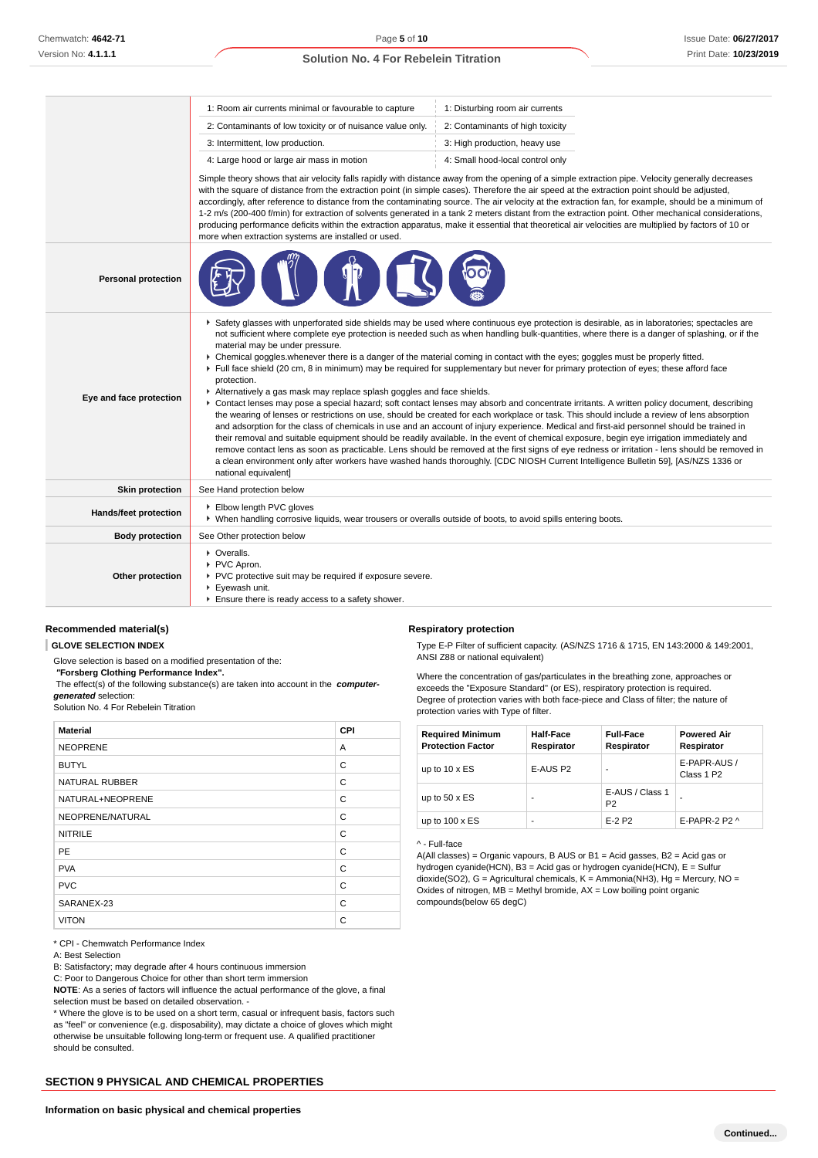|                            | 1: Room air currents minimal or favourable to capture                                                                                                                                                                                                                                                                                                                                                                                                                                                                                                                                                                                                                                                                                                                                                                                                                                                                                                                                                                                                                                                                                                                                                                                                                                                                                                                                                                                                                                                                                                                                                        | 1: Disturbing room air currents  |  |  |  |
|----------------------------|--------------------------------------------------------------------------------------------------------------------------------------------------------------------------------------------------------------------------------------------------------------------------------------------------------------------------------------------------------------------------------------------------------------------------------------------------------------------------------------------------------------------------------------------------------------------------------------------------------------------------------------------------------------------------------------------------------------------------------------------------------------------------------------------------------------------------------------------------------------------------------------------------------------------------------------------------------------------------------------------------------------------------------------------------------------------------------------------------------------------------------------------------------------------------------------------------------------------------------------------------------------------------------------------------------------------------------------------------------------------------------------------------------------------------------------------------------------------------------------------------------------------------------------------------------------------------------------------------------------|----------------------------------|--|--|--|
|                            | 2: Contaminants of low toxicity or of nuisance value only.                                                                                                                                                                                                                                                                                                                                                                                                                                                                                                                                                                                                                                                                                                                                                                                                                                                                                                                                                                                                                                                                                                                                                                                                                                                                                                                                                                                                                                                                                                                                                   | 2: Contaminants of high toxicity |  |  |  |
|                            | 3: Intermittent, low production.                                                                                                                                                                                                                                                                                                                                                                                                                                                                                                                                                                                                                                                                                                                                                                                                                                                                                                                                                                                                                                                                                                                                                                                                                                                                                                                                                                                                                                                                                                                                                                             | 3: High production, heavy use    |  |  |  |
|                            | 4: Large hood or large air mass in motion                                                                                                                                                                                                                                                                                                                                                                                                                                                                                                                                                                                                                                                                                                                                                                                                                                                                                                                                                                                                                                                                                                                                                                                                                                                                                                                                                                                                                                                                                                                                                                    | 4: Small hood-local control only |  |  |  |
|                            | Simple theory shows that air velocity falls rapidly with distance away from the opening of a simple extraction pipe. Velocity generally decreases<br>with the square of distance from the extraction point (in simple cases). Therefore the air speed at the extraction point should be adjusted,<br>accordingly, after reference to distance from the contaminating source. The air velocity at the extraction fan, for example, should be a minimum of<br>1-2 m/s (200-400 f/min) for extraction of solvents generated in a tank 2 meters distant from the extraction point. Other mechanical considerations,<br>producing performance deficits within the extraction apparatus, make it essential that theoretical air velocities are multiplied by factors of 10 or<br>more when extraction systems are installed or used.                                                                                                                                                                                                                                                                                                                                                                                                                                                                                                                                                                                                                                                                                                                                                                               |                                  |  |  |  |
| <b>Personal protection</b> |                                                                                                                                                                                                                                                                                                                                                                                                                                                                                                                                                                                                                                                                                                                                                                                                                                                                                                                                                                                                                                                                                                                                                                                                                                                                                                                                                                                                                                                                                                                                                                                                              |                                  |  |  |  |
| Eye and face protection    | ▶ Safety glasses with unperforated side shields may be used where continuous eye protection is desirable, as in laboratories; spectacles are<br>not sufficient where complete eye protection is needed such as when handling bulk-quantities, where there is a danger of splashing, or if the<br>material may be under pressure.<br>▶ Chemical goggles whenever there is a danger of the material coming in contact with the eyes; goggles must be properly fitted.<br>Full face shield (20 cm, 8 in minimum) may be required for supplementary but never for primary protection of eyes; these afford face<br>protection.<br>Alternatively a gas mask may replace splash goggles and face shields.<br>▶ Contact lenses may pose a special hazard; soft contact lenses may absorb and concentrate irritants. A written policy document, describing<br>the wearing of lenses or restrictions on use, should be created for each workplace or task. This should include a review of lens absorption<br>and adsorption for the class of chemicals in use and an account of injury experience. Medical and first-aid personnel should be trained in<br>their removal and suitable equipment should be readily available. In the event of chemical exposure, begin eye irrigation immediately and<br>remove contact lens as soon as practicable. Lens should be removed at the first signs of eye redness or irritation - lens should be removed in<br>a clean environment only after workers have washed hands thoroughly. [CDC NIOSH Current Intelligence Bulletin 59], [AS/NZS 1336 or<br>national equivalent] |                                  |  |  |  |
| <b>Skin protection</b>     | See Hand protection below                                                                                                                                                                                                                                                                                                                                                                                                                                                                                                                                                                                                                                                                                                                                                                                                                                                                                                                                                                                                                                                                                                                                                                                                                                                                                                                                                                                                                                                                                                                                                                                    |                                  |  |  |  |
| Hands/feet protection      | Elbow length PVC gloves<br>▶ When handling corrosive liquids, wear trousers or overalls outside of boots, to avoid spills entering boots.                                                                                                                                                                                                                                                                                                                                                                                                                                                                                                                                                                                                                                                                                                                                                                                                                                                                                                                                                                                                                                                                                                                                                                                                                                                                                                                                                                                                                                                                    |                                  |  |  |  |
| <b>Body protection</b>     | See Other protection below                                                                                                                                                                                                                                                                                                                                                                                                                                                                                                                                                                                                                                                                                                                                                                                                                                                                                                                                                                                                                                                                                                                                                                                                                                                                                                                                                                                                                                                                                                                                                                                   |                                  |  |  |  |
| Other protection           | • Overalls.<br>PVC Apron.<br>PVC protective suit may be required if exposure severe.<br>Eyewash unit.<br>Ensure there is ready access to a safety shower.                                                                                                                                                                                                                                                                                                                                                                                                                                                                                                                                                                                                                                                                                                                                                                                                                                                                                                                                                                                                                                                                                                                                                                                                                                                                                                                                                                                                                                                    |                                  |  |  |  |

# **Recommended material(s)**

#### **GLOVE SELECTION INDEX**

Glove selection is based on a modified presentation of the:

 **"Forsberg Clothing Performance Index".**

The effect(s) of the following substance(s) are taken into account in the **computer-**

**generated** selection:

Solution No. 4 For Rebelein Titration

| <b>Material</b>       | CPI |
|-----------------------|-----|
| <b>NEOPRENE</b>       | A   |
| <b>BUTYL</b>          | C   |
| <b>NATURAL RUBBER</b> | C   |
| NATURAL+NEOPRENE      | C   |
| NEOPRENE/NATURAL      | C   |
| <b>NITRILE</b>        | C   |
| <b>PE</b>             | C   |
| <b>PVA</b>            | C   |
| <b>PVC</b>            | C   |
| SARANEX-23            | C   |
| <b>VITON</b>          | C   |

\* CPI - Chemwatch Performance Index

A: Best Selection

B: Satisfactory; may degrade after 4 hours continuous immersion

C: Poor to Dangerous Choice for other than short term immersion

**NOTE**: As a series of factors will influence the actual performance of the glove, a final selection must be based on detailed observation. -

\* Where the glove is to be used on a short term, casual or infrequent basis, factors such as "feel" or convenience (e.g. disposability), may dictate a choice of gloves which might otherwise be unsuitable following long-term or frequent use. A qualified practitioner should be consulted.

#### **SECTION 9 PHYSICAL AND CHEMICAL PROPERTIES**

#### **Respiratory protection**

Type E-P Filter of sufficient capacity. (AS/NZS 1716 & 1715, EN 143:2000 & 149:2001, ANSI Z88 or national equivalent)

Where the concentration of gas/particulates in the breathing zone, approaches or exceeds the "Exposure Standard" (or ES), respiratory protection is required. Degree of protection varies with both face-piece and Class of filter; the nature of protection varies with Type of filter.

| <b>Required Minimum</b><br><b>Protection Factor</b> | <b>Half-Face</b><br>Respirator | <b>Full-Face</b><br>Respirator    | <b>Powered Air</b><br>Respirator       |
|-----------------------------------------------------|--------------------------------|-----------------------------------|----------------------------------------|
| up to $10 \times ES$                                | E-AUS P2                       |                                   | E-PAPR-AUS /<br>Class 1 P <sub>2</sub> |
| up to $50 \times ES$                                | ۰                              | E-AUS / Class 1<br>P <sub>2</sub> |                                        |
| up to $100 \times ES$                               | ۰                              | $E-2$ P <sub>2</sub>              | E-PAPR-2 P2 $\land$                    |

#### ^ - Full-face

A(All classes) = Organic vapours, B AUS or B1 = Acid gasses, B2 = Acid gas or hydrogen cyanide(HCN), B3 = Acid gas or hydrogen cyanide(HCN), E = Sulfur dioxide(SO2), G = Agricultural chemicals, K = Ammonia(NH3), Hg = Mercury, NO = Oxides of nitrogen,  $MB =$  Methyl bromide,  $AX =$  Low boiling point organic compounds(below 65 degC)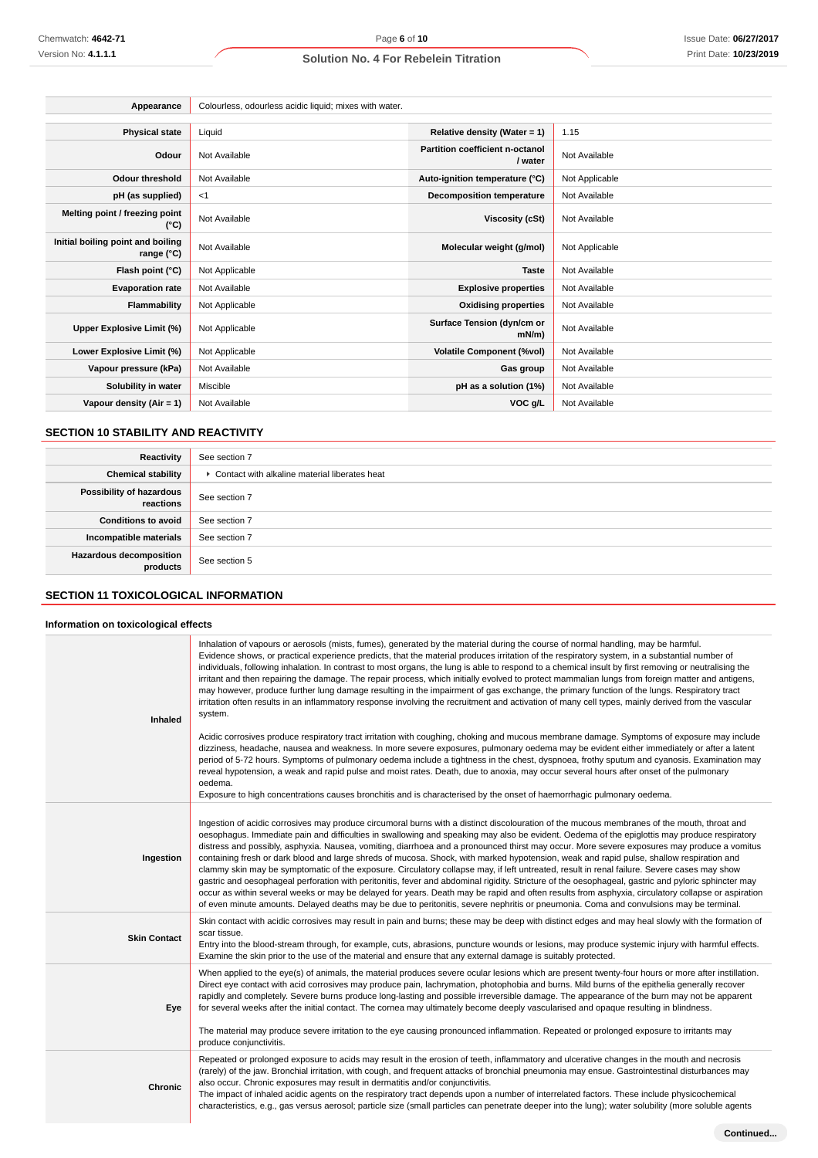| Appearance                                      | Colourless, odourless acidic liquid; mixes with water. |                                            |                |
|-------------------------------------------------|--------------------------------------------------------|--------------------------------------------|----------------|
|                                                 |                                                        |                                            |                |
| <b>Physical state</b>                           | Liquid                                                 | Relative density (Water = 1)               | 1.15           |
| Odour                                           | Not Available                                          | Partition coefficient n-octanol<br>/ water | Not Available  |
| <b>Odour threshold</b>                          | Not Available                                          | Auto-ignition temperature (°C)             | Not Applicable |
| pH (as supplied)                                | $<$ 1                                                  | <b>Decomposition temperature</b>           | Not Available  |
| Melting point / freezing point<br>(°C)          | Not Available                                          | Viscosity (cSt)                            | Not Available  |
| Initial boiling point and boiling<br>range (°C) | Not Available                                          | Molecular weight (g/mol)                   | Not Applicable |
| Flash point (°C)                                | Not Applicable                                         | <b>Taste</b>                               | Not Available  |
| <b>Evaporation rate</b>                         | Not Available                                          | <b>Explosive properties</b>                | Not Available  |
| <b>Flammability</b>                             | Not Applicable                                         | <b>Oxidising properties</b>                | Not Available  |
| Upper Explosive Limit (%)                       | Not Applicable                                         | Surface Tension (dyn/cm or<br>$mN/m$ )     | Not Available  |
| Lower Explosive Limit (%)                       | Not Applicable                                         | <b>Volatile Component (%vol)</b>           | Not Available  |
| Vapour pressure (kPa)                           | Not Available                                          | Gas group                                  | Not Available  |
| Solubility in water                             | Miscible                                               | pH as a solution (1%)                      | Not Available  |
| Vapour density ( $Air = 1$ )                    | Not Available                                          | VOC g/L                                    | Not Available  |

# **SECTION 10 STABILITY AND REACTIVITY**

| Reactivity                                 | See section 7                                   |
|--------------------------------------------|-------------------------------------------------|
| <b>Chemical stability</b>                  | ▶ Contact with alkaline material liberates heat |
| Possibility of hazardous<br>reactions      | See section 7                                   |
| <b>Conditions to avoid</b>                 | See section 7                                   |
| Incompatible materials                     | See section 7                                   |
| <b>Hazardous decomposition</b><br>products | See section 5                                   |

# **SECTION 11 TOXICOLOGICAL INFORMATION**

#### **Information on toxicological effects**

| Inhaled             | Inhalation of vapours or aerosols (mists, fumes), generated by the material during the course of normal handling, may be harmful.<br>Evidence shows, or practical experience predicts, that the material produces irritation of the respiratory system, in a substantial number of<br>individuals, following inhalation. In contrast to most organs, the lung is able to respond to a chemical insult by first removing or neutralising the<br>irritant and then repairing the damage. The repair process, which initially evolved to protect mammalian lungs from foreign matter and antigens,<br>may however, produce further lung damage resulting in the impairment of gas exchange, the primary function of the lungs. Respiratory tract<br>irritation often results in an inflammatory response involving the recruitment and activation of many cell types, mainly derived from the vascular<br>system.                                                                                                                                                                                                                                                                              |
|---------------------|---------------------------------------------------------------------------------------------------------------------------------------------------------------------------------------------------------------------------------------------------------------------------------------------------------------------------------------------------------------------------------------------------------------------------------------------------------------------------------------------------------------------------------------------------------------------------------------------------------------------------------------------------------------------------------------------------------------------------------------------------------------------------------------------------------------------------------------------------------------------------------------------------------------------------------------------------------------------------------------------------------------------------------------------------------------------------------------------------------------------------------------------------------------------------------------------|
|                     | Acidic corrosives produce respiratory tract irritation with coughing, choking and mucous membrane damage. Symptoms of exposure may include<br>dizziness, headache, nausea and weakness. In more severe exposures, pulmonary oedema may be evident either immediately or after a latent<br>period of 5-72 hours. Symptoms of pulmonary oedema include a tightness in the chest, dyspnoea, frothy sputum and cyanosis. Examination may<br>reveal hypotension, a weak and rapid pulse and moist rates. Death, due to anoxia, may occur several hours after onset of the pulmonary<br>oedema.<br>Exposure to high concentrations causes bronchitis and is characterised by the onset of haemorrhagic pulmonary oedema.                                                                                                                                                                                                                                                                                                                                                                                                                                                                          |
| Ingestion           | Ingestion of acidic corrosives may produce circumoral burns with a distinct discolouration of the mucous membranes of the mouth, throat and<br>oesophagus. Immediate pain and difficulties in swallowing and speaking may also be evident. Oedema of the epiglottis may produce respiratory<br>distress and possibly, asphyxia. Nausea, vomiting, diarrhoea and a pronounced thirst may occur. More severe exposures may produce a vomitus<br>containing fresh or dark blood and large shreds of mucosa. Shock, with marked hypotension, weak and rapid pulse, shallow respiration and<br>clammy skin may be symptomatic of the exposure. Circulatory collapse may, if left untreated, result in renal failure. Severe cases may show<br>gastric and oesophageal perforation with peritonitis, fever and abdominal rigidity. Stricture of the oesophageal, gastric and pyloric sphincter may<br>occur as within several weeks or may be delayed for years. Death may be rapid and often results from asphyxia, circulatory collapse or aspiration<br>of even minute amounts. Delayed deaths may be due to peritonitis, severe nephritis or pneumonia. Coma and convulsions may be terminal. |
| <b>Skin Contact</b> | Skin contact with acidic corrosives may result in pain and burns; these may be deep with distinct edges and may heal slowly with the formation of<br>scar tissue.<br>Entry into the blood-stream through, for example, cuts, abrasions, puncture wounds or lesions, may produce systemic injury with harmful effects.<br>Examine the skin prior to the use of the material and ensure that any external damage is suitably protected.                                                                                                                                                                                                                                                                                                                                                                                                                                                                                                                                                                                                                                                                                                                                                       |
| Eye                 | When applied to the eye(s) of animals, the material produces severe ocular lesions which are present twenty-four hours or more after instillation.<br>Direct eye contact with acid corrosives may produce pain, lachrymation, photophobia and burns. Mild burns of the epithelia generally recover<br>rapidly and completely. Severe burns produce long-lasting and possible irreversible damage. The appearance of the burn may not be apparent<br>for several weeks after the initial contact. The cornea may ultimately become deeply vascularised and opaque resulting in blindness.<br>The material may produce severe irritation to the eye causing pronounced inflammation. Repeated or prolonged exposure to irritants may<br>produce conjunctivitis.                                                                                                                                                                                                                                                                                                                                                                                                                               |
| Chronic             | Repeated or prolonged exposure to acids may result in the erosion of teeth, inflammatory and ulcerative changes in the mouth and necrosis<br>(rarely) of the jaw. Bronchial irritation, with cough, and frequent attacks of bronchial pneumonia may ensue. Gastrointestinal disturbances may<br>also occur. Chronic exposures may result in dermatitis and/or conjunctivitis.<br>The impact of inhaled acidic agents on the respiratory tract depends upon a number of interrelated factors. These include physicochemical<br>characteristics, e.g., gas versus aerosol; particle size (small particles can penetrate deeper into the lung); water solubility (more soluble agents                                                                                                                                                                                                                                                                                                                                                                                                                                                                                                          |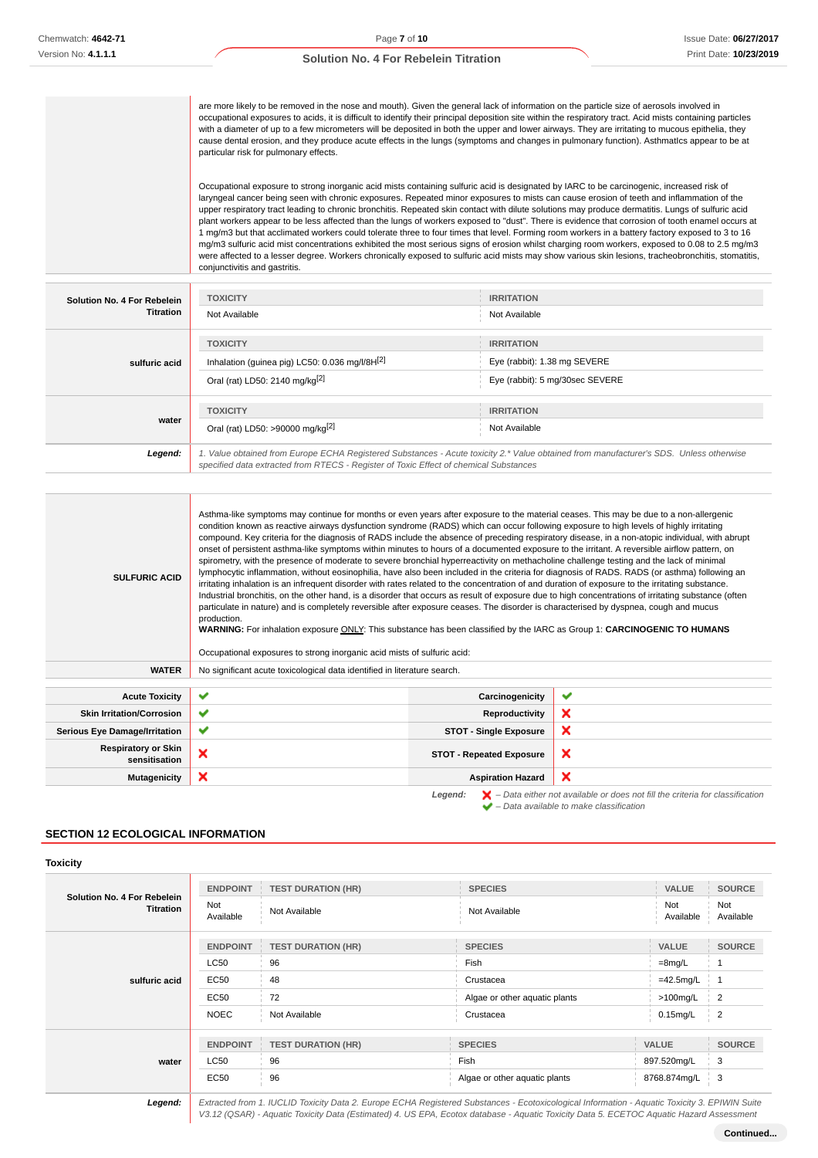are more likely to be removed in the nose and mouth). Given the general lack of information on the particle size of aerosols involved in occupational exposures to acids, it is difficult to identify their principal deposition site within the respiratory tract. Acid mists containing particIes with a diameter of up to a few micrometers will be deposited in both the upper and lower airways. They are irritating to mucous epithelia, they cause dental erosion, and they produce acute effects in the lungs (symptoms and changes in pulmonary function). AsthmatIcs appear to be at particular risk for pulmonary effects.

Occupational exposure to strong inorganic acid mists containing sulfuric acid is designated by IARC to be carcinogenic, increased risk of laryngeal cancer being seen with chronic exposures. Repeated minor exposures to mists can cause erosion of teeth and inflammation of the upper respiratory tract leading to chronic bronchitis. Repeated skin contact with dilute solutions may produce dermatitis. Lungs of sulfuric acid plant workers appear to be less affected than the lungs of workers exposed to "dust". There is evidence that corrosion of tooth enamel occurs at 1 mg/m3 but that acclimated workers could tolerate three to four times that level. Forming room workers in a battery factory exposed to 3 to 16 mg/m3 sulfuric acid mist concentrations exhibited the most serious signs of erosion whilst charging room workers, exposed to 0.08 to 2.5 mg/m3 were affected to a lesser degree. Workers chronically exposed to sulfuric acid mists may show various skin lesions, tracheobronchitis, stomatitis, conjunctivitis and gastritis.

| Solution No. 4 For Rebelein<br>Titration | <b>TOXICITY</b><br>Not Available                                                                                                                                                                                                | <b>IRRITATION</b><br>Not Available                                                   |  |
|------------------------------------------|---------------------------------------------------------------------------------------------------------------------------------------------------------------------------------------------------------------------------------|--------------------------------------------------------------------------------------|--|
| sulfuric acid                            | <b>TOXICITY</b><br>Inhalation (guinea pig) LC50: 0.036 mg/l/8H[2]<br>Oral (rat) LD50: 2140 mg/kg[2]                                                                                                                             | <b>IRRITATION</b><br>Eye (rabbit): 1.38 mg SEVERE<br>Eye (rabbit): 5 mg/30sec SEVERE |  |
| water                                    | <b>TOXICITY</b><br>Oral (rat) LD50: >90000 mg/kg <sup>[2]</sup>                                                                                                                                                                 | <b>IRRITATION</b><br>Not Available                                                   |  |
| Legend:                                  | 1. Value obtained from Europe ECHA Registered Substances - Acute toxicity 2.* Value obtained from manufacturer's SDS. Unless otherwise<br>specified data extracted from RTECS - Register of Toxic Effect of chemical Substances |                                                                                      |  |

| <b>SULFURIC ACID</b>                        | Asthma-like symptoms may continue for months or even years after exposure to the material ceases. This may be due to a non-allergenic<br>condition known as reactive airways dysfunction syndrome (RADS) which can occur following exposure to high levels of highly irritating<br>compound. Key criteria for the diagnosis of RADS include the absence of preceding respiratory disease, in a non-atopic individual, with abrupt<br>onset of persistent asthma-like symptoms within minutes to hours of a documented exposure to the irritant. A reversible airflow pattern, on<br>spirometry, with the presence of moderate to severe bronchial hyperreactivity on methacholine challenge testing and the lack of minimal<br>lymphocytic inflammation, without eosinophilia, have also been included in the criteria for diagnosis of RADS. RADS (or asthma) following an<br>irritating inhalation is an infrequent disorder with rates related to the concentration of and duration of exposure to the irritating substance.<br>Industrial bronchitis, on the other hand, is a disorder that occurs as result of exposure due to high concentrations of irritating substance (often<br>particulate in nature) and is completely reversible after exposure ceases. The disorder is characterised by dyspnea, cough and mucus<br>production.<br>WARNING: For inhalation exposure ONLY: This substance has been classified by the IARC as Group 1: CARCINOGENIC TO HUMANS<br>Occupational exposures to strong inorganic acid mists of sulfuric acid: |                                 |                           |
|---------------------------------------------|------------------------------------------------------------------------------------------------------------------------------------------------------------------------------------------------------------------------------------------------------------------------------------------------------------------------------------------------------------------------------------------------------------------------------------------------------------------------------------------------------------------------------------------------------------------------------------------------------------------------------------------------------------------------------------------------------------------------------------------------------------------------------------------------------------------------------------------------------------------------------------------------------------------------------------------------------------------------------------------------------------------------------------------------------------------------------------------------------------------------------------------------------------------------------------------------------------------------------------------------------------------------------------------------------------------------------------------------------------------------------------------------------------------------------------------------------------------------------------------------------------------------------------------------------|---------------------------------|---------------------------|
| <b>WATER</b>                                | No significant acute toxicological data identified in literature search.                                                                                                                                                                                                                                                                                                                                                                                                                                                                                                                                                                                                                                                                                                                                                                                                                                                                                                                                                                                                                                                                                                                                                                                                                                                                                                                                                                                                                                                                             |                                 |                           |
|                                             |                                                                                                                                                                                                                                                                                                                                                                                                                                                                                                                                                                                                                                                                                                                                                                                                                                                                                                                                                                                                                                                                                                                                                                                                                                                                                                                                                                                                                                                                                                                                                      |                                 |                           |
| <b>Acute Toxicity</b>                       | $\checkmark$                                                                                                                                                                                                                                                                                                                                                                                                                                                                                                                                                                                                                                                                                                                                                                                                                                                                                                                                                                                                                                                                                                                                                                                                                                                                                                                                                                                                                                                                                                                                         | Carcinogenicity                 | ✔                         |
| <b>Skin Irritation/Corrosion</b>            | $\checkmark$                                                                                                                                                                                                                                                                                                                                                                                                                                                                                                                                                                                                                                                                                                                                                                                                                                                                                                                                                                                                                                                                                                                                                                                                                                                                                                                                                                                                                                                                                                                                         | <b>Reproductivity</b>           | $\boldsymbol{\mathsf{x}}$ |
| <b>Serious Eye Damage/Irritation</b>        | ✔                                                                                                                                                                                                                                                                                                                                                                                                                                                                                                                                                                                                                                                                                                                                                                                                                                                                                                                                                                                                                                                                                                                                                                                                                                                                                                                                                                                                                                                                                                                                                    | <b>STOT - Single Exposure</b>   | $\boldsymbol{\mathsf{x}}$ |
| <b>Respiratory or Skin</b><br>sensitisation | ×                                                                                                                                                                                                                                                                                                                                                                                                                                                                                                                                                                                                                                                                                                                                                                                                                                                                                                                                                                                                                                                                                                                                                                                                                                                                                                                                                                                                                                                                                                                                                    | <b>STOT - Repeated Exposure</b> | $\boldsymbol{\mathsf{x}}$ |
| <b>Mutagenicity</b>                         | ×                                                                                                                                                                                                                                                                                                                                                                                                                                                                                                                                                                                                                                                                                                                                                                                                                                                                                                                                                                                                                                                                                                                                                                                                                                                                                                                                                                                                                                                                                                                                                    | <b>Aspiration Hazard</b>        | ×                         |

Legend:  $\mathsf{X}$  – Data either not available or does not fill the criteria for classification  $\blacktriangleright$  – Data available to make classification

### **SECTION 12 ECOLOGICAL INFORMATION**

#### **Toxicity**

| Solution No. 4 For Rebelein<br><b>Titration</b> | <b>ENDPOINT</b><br>Not<br>Available                           | <b>TEST DURATION (HR)</b><br>Not Available                   | <b>SPECIES</b><br>Not Available                                                   | <b>VALUE</b><br>Not<br>Available                                        | <b>SOURCE</b><br>Not<br>Available                                   |
|-------------------------------------------------|---------------------------------------------------------------|--------------------------------------------------------------|-----------------------------------------------------------------------------------|-------------------------------------------------------------------------|---------------------------------------------------------------------|
| sulfuric acid                                   | <b>ENDPOINT</b><br><b>LC50</b><br>EC50<br>EC50<br><b>NOEC</b> | <b>TEST DURATION (HR)</b><br>96<br>48<br>72<br>Not Available | <b>SPECIES</b><br>Fish<br>Crustacea<br>Algae or other aquatic plants<br>Crustacea | <b>VALUE</b><br>$=8$ mg/L<br>$=42.5$ mg/L<br>$>100$ mg/L<br>$0.15$ mg/L | <b>SOURCE</b><br>$\overline{1}$<br>$\overline{2}$<br>$\overline{2}$ |
| water                                           | <b>ENDPOINT</b><br><b>LC50</b><br><b>EC50</b>                 | <b>TEST DURATION (HR)</b><br>96<br>96                        | <b>SPECIES</b><br>Fish<br>Algae or other aquatic plants                           | <b>VALUE</b><br>897.520mg/L<br>8768.874mg/L                             | <b>SOURCE</b><br>3<br>3                                             |

**Legend:** Extracted from 1. IUCLID Toxicity Data 2. Europe ECHA Registered Substances - Ecotoxicological Information - Aquatic Toxicity 3. EPIWIN Suite V3.12 (QSAR) - Aquatic Toxicity Data (Estimated) 4. US EPA, Ecotox database - Aquatic Toxicity Data 5. ECETOC Aquatic Hazard Assessment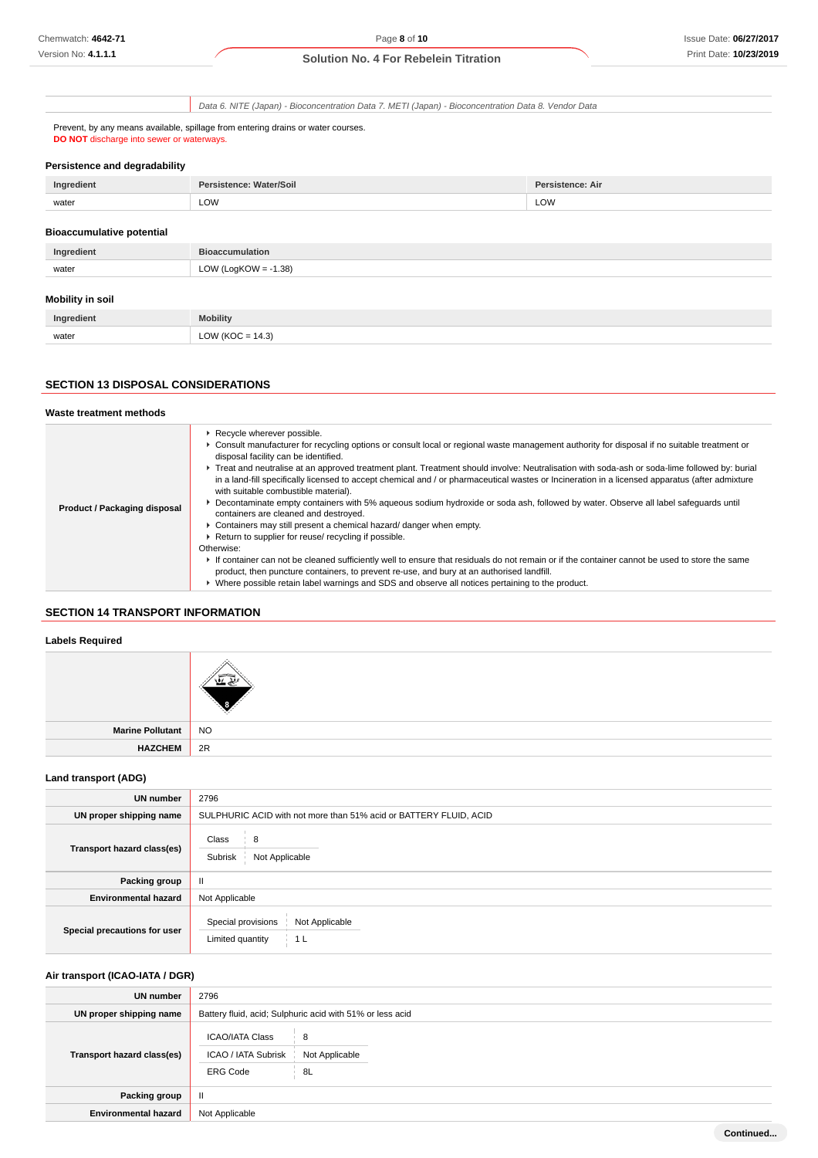Data 6. NITE (Japan) - Bioconcentration Data 7. METI (Japan) - Bioconcentration Data 8. Vendor Data

Prevent, by any means available, spillage from entering drains or water courses. **DO NOT** discharge into sewer or waterways.

#### **Persistence and degradability**

| Ingredient                       | Persistence: Water/Soil | <b>Persistence: Air</b> |
|----------------------------------|-------------------------|-------------------------|
| water                            | LOW                     | LOW                     |
| <b>Bioaccumulative potential</b> |                         |                         |
|                                  |                         |                         |

| Ingredient              | <b>Bioaccumulation</b>  |
|-------------------------|-------------------------|
| water                   | LOW (LogKOW = $-1.38$ ) |
| <b>Mobility in soil</b> |                         |
|                         |                         |
| Ingredient              | <b>Mobility</b>         |

| Ingredient                               | <b>Mobility</b>              |
|------------------------------------------|------------------------------|
| the contract of the contract of<br>water | $\sim$<br>LU<br>14.3.<br>. . |
|                                          |                              |

# **SECTION 13 DISPOSAL CONSIDERATIONS**

#### **Waste treatment methods**

| ▶ Recycle wherever possible.<br>▶ Consult manufacturer for recycling options or consult local or regional waste management authority for disposal if no suitable treatment or<br>disposal facility can be identified.<br>Freat and neutralise at an approved treatment plant. Treatment should involve: Neutralisation with soda-ash or soda-lime followed by: burial<br>in a land-fill specifically licensed to accept chemical and / or pharmaceutical wastes or Incineration in a licensed apparatus (after admixture<br>with suitable combustible material).<br>> Decontaminate empty containers with 5% aqueous sodium hydroxide or soda ash, followed by water. Observe all label safeguards until<br>Product / Packaging disposal<br>containers are cleaned and destroyed.<br>• Containers may still present a chemical hazard/ danger when empty.<br>Return to supplier for reuse/ recycling if possible.<br>Otherwise:<br>If container can not be cleaned sufficiently well to ensure that residuals do not remain or if the container cannot be used to store the same<br>product, then puncture containers, to prevent re-use, and bury at an authorised landfill. |                                                                                                   |
|-------------------------------------------------------------------------------------------------------------------------------------------------------------------------------------------------------------------------------------------------------------------------------------------------------------------------------------------------------------------------------------------------------------------------------------------------------------------------------------------------------------------------------------------------------------------------------------------------------------------------------------------------------------------------------------------------------------------------------------------------------------------------------------------------------------------------------------------------------------------------------------------------------------------------------------------------------------------------------------------------------------------------------------------------------------------------------------------------------------------------------------------------------------------------------|---------------------------------------------------------------------------------------------------|
|                                                                                                                                                                                                                                                                                                                                                                                                                                                                                                                                                                                                                                                                                                                                                                                                                                                                                                                                                                                                                                                                                                                                                                               | ▶ Where possible retain label warnings and SDS and observe all notices pertaining to the product. |

# **SECTION 14 TRANSPORT INFORMATION**

### **Labels Required**

| Marine Pollutant NO |  |
|---------------------|--|
| HAZCHEM 2R          |  |
|                     |  |

# **Land transport (ADG)**

| <b>UN number</b>             | 2796                                                              |
|------------------------------|-------------------------------------------------------------------|
| UN proper shipping name      | SULPHURIC ACID with not more than 51% acid or BATTERY FLUID, ACID |
| Transport hazard class(es)   | Class<br>8<br>Subrisk<br>Not Applicable                           |
| Packing group                | $\mathbf{H}$                                                      |
| <b>Environmental hazard</b>  | Not Applicable                                                    |
| Special precautions for user | Special provisions<br>Not Applicable<br>Limited quantity<br>1 L   |

# **Air transport (ICAO-IATA / DGR)**

| UN number                         | 2796                                                                                          |  |
|-----------------------------------|-----------------------------------------------------------------------------------------------|--|
| UN proper shipping name           | Battery fluid, acid; Sulphuric acid with 51% or less acid                                     |  |
| <b>Transport hazard class(es)</b> | <b>ICAO/IATA Class</b><br>8<br>ICAO / IATA Subrisk<br>Not Applicable<br><b>ERG Code</b><br>8L |  |
| Packing group                     | $\mathbf{I}$                                                                                  |  |
| <b>Environmental hazard</b>       | Not Applicable                                                                                |  |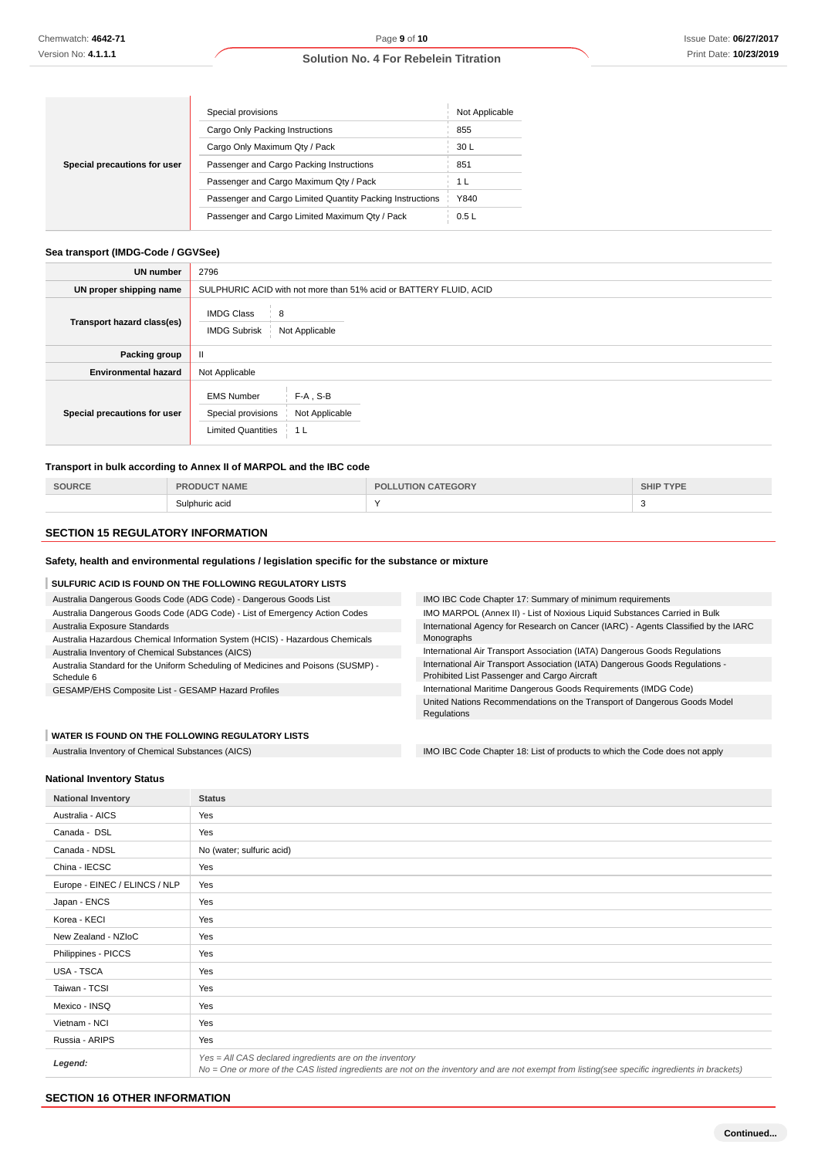|                              | Special provisions                                        | Not Applicable |
|------------------------------|-----------------------------------------------------------|----------------|
|                              | Cargo Only Packing Instructions                           | 855            |
|                              | Cargo Only Maximum Qty / Pack                             | 30 L           |
| Special precautions for user | Passenger and Cargo Packing Instructions                  | 851            |
|                              | Passenger and Cargo Maximum Qty / Pack                    | 1 L            |
|                              | Passenger and Cargo Limited Quantity Packing Instructions | Y840           |
|                              | Passenger and Cargo Limited Maximum Qtv / Pack            | 0.5L           |

# **Sea transport (IMDG-Code / GGVSee)**

| UN number                    | 2796                                                                                                                    |
|------------------------------|-------------------------------------------------------------------------------------------------------------------------|
| UN proper shipping name      | SULPHURIC ACID with not more than 51% acid or BATTERY FLUID, ACID                                                       |
| Transport hazard class(es)   | <b>IMDG Class</b><br>8<br><b>IMDG Subrisk</b><br>Not Applicable                                                         |
| Packing group                | Ш                                                                                                                       |
| <b>Environmental hazard</b>  | Not Applicable                                                                                                          |
| Special precautions for user | $F-A$ , S-B<br><b>EMS Number</b><br>Special provisions<br>Not Applicable<br><b>Limited Quantities</b><br>1 <sub>L</sub> |

### **Transport in bulk according to Annex II of MARPOL and the IBC code**

| 201106 | <b>'AME</b>         | Dr<br>'iOR. | <b>TYPE</b><br>SHIP |
|--------|---------------------|-------------|---------------------|
|        | Sulphuric acid<br>. | $\cdot$     | $\sim$              |

# **SECTION 15 REGULATORY INFORMATION**

# **Safety, health and environmental regulations / legislation specific for the substance or mixture**

# **SULFURIC ACID IS FOUND ON THE FOLLOWING REGULATORY LISTS**

| Australia Dangerous Goods Code (ADG Code) - Dangerous Goods List                               | IMO IBC Code Chapter 17: Summary of minimum requirements                                                                     |  |
|------------------------------------------------------------------------------------------------|------------------------------------------------------------------------------------------------------------------------------|--|
| Australia Dangerous Goods Code (ADG Code) - List of Emergency Action Codes                     | IMO MARPOL (Annex II) - List of Noxious Liquid Substances Carried in Bulk                                                    |  |
| Australia Exposure Standards                                                                   | International Agency for Research on Cancer (IARC) - Agents Classified by the IARC                                           |  |
| Australia Hazardous Chemical Information System (HCIS) - Hazardous Chemicals                   | Monographs                                                                                                                   |  |
| Australia Inventory of Chemical Substances (AICS)                                              | International Air Transport Association (IATA) Dangerous Goods Regulations                                                   |  |
| Australia Standard for the Uniform Scheduling of Medicines and Poisons (SUSMP) -<br>Schedule 6 | International Air Transport Association (IATA) Dangerous Goods Regulations -<br>Prohibited List Passenger and Cargo Aircraft |  |
| GESAMP/EHS Composite List - GESAMP Hazard Profiles                                             | International Maritime Dangerous Goods Requirements (IMDG Code)                                                              |  |
|                                                                                                | United Nations Recommendations on the Transport of Dangerous Goods Model                                                     |  |
|                                                                                                | Regulations                                                                                                                  |  |
|                                                                                                |                                                                                                                              |  |

#### **WATER IS FOUND ON THE FOLLOWING REGULATORY LISTS**

Australia Inventory of Chemical Substances (AICS) **IMO IBC Code Chapter 18: List of products to which the Code does not apply** 

#### **National Inventory Status**

| <b>National Inventory</b>     | <b>Status</b>                                                                                                                                                                                            |
|-------------------------------|----------------------------------------------------------------------------------------------------------------------------------------------------------------------------------------------------------|
| Australia - AICS              | Yes                                                                                                                                                                                                      |
| Canada - DSL                  | Yes                                                                                                                                                                                                      |
| Canada - NDSL                 | No (water; sulfuric acid)                                                                                                                                                                                |
| China - IECSC                 | Yes                                                                                                                                                                                                      |
| Europe - EINEC / ELINCS / NLP | Yes                                                                                                                                                                                                      |
| Japan - ENCS                  | Yes                                                                                                                                                                                                      |
| Korea - KECI                  | Yes                                                                                                                                                                                                      |
| New Zealand - NZIoC           | Yes                                                                                                                                                                                                      |
| Philippines - PICCS           | Yes                                                                                                                                                                                                      |
| USA - TSCA                    | Yes                                                                                                                                                                                                      |
| Taiwan - TCSI                 | Yes                                                                                                                                                                                                      |
| Mexico - INSQ                 | Yes                                                                                                                                                                                                      |
| Vietnam - NCI                 | Yes                                                                                                                                                                                                      |
| Russia - ARIPS                | Yes                                                                                                                                                                                                      |
| Legend:                       | Yes = All CAS declared ingredients are on the inventory<br>No = One or more of the CAS listed ingredients are not on the inventory and are not exempt from listing(see specific ingredients in brackets) |

# **SECTION 16 OTHER INFORMATION**